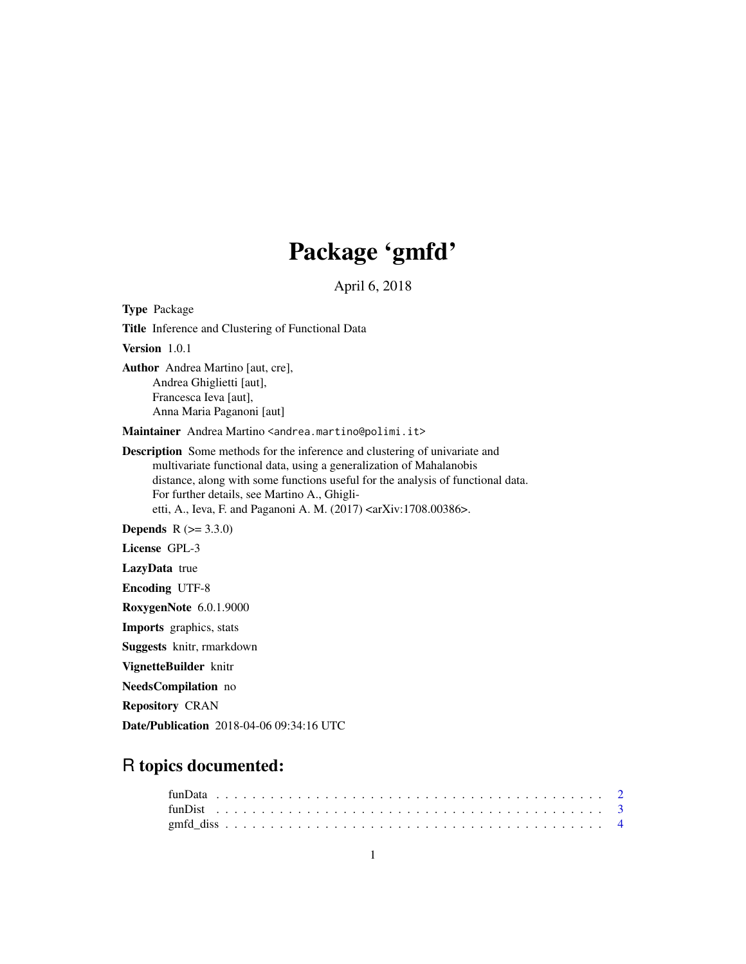# Package 'gmfd'

April 6, 2018

Type Package Title Inference and Clustering of Functional Data Version 1.0.1 Author Andrea Martino [aut, cre], Andrea Ghiglietti [aut], Francesca Ieva [aut], Anna Maria Paganoni [aut] Maintainer Andrea Martino <andrea.martino@polimi.it> Description Some methods for the inference and clustering of univariate and multivariate functional data, using a generalization of Mahalanobis distance, along with some functions useful for the analysis of functional data. For further details, see Martino A., Ghiglietti, A., Ieva, F. and Paganoni A. M. (2017) <arXiv:1708.00386>. **Depends**  $R (= 3.3.0)$ License GPL-3 LazyData true Encoding UTF-8 RoxygenNote 6.0.1.9000 Imports graphics, stats Suggests knitr, rmarkdown VignetteBuilder knitr NeedsCompilation no Repository CRAN

Date/Publication 2018-04-06 09:34:16 UTC

# R topics documented: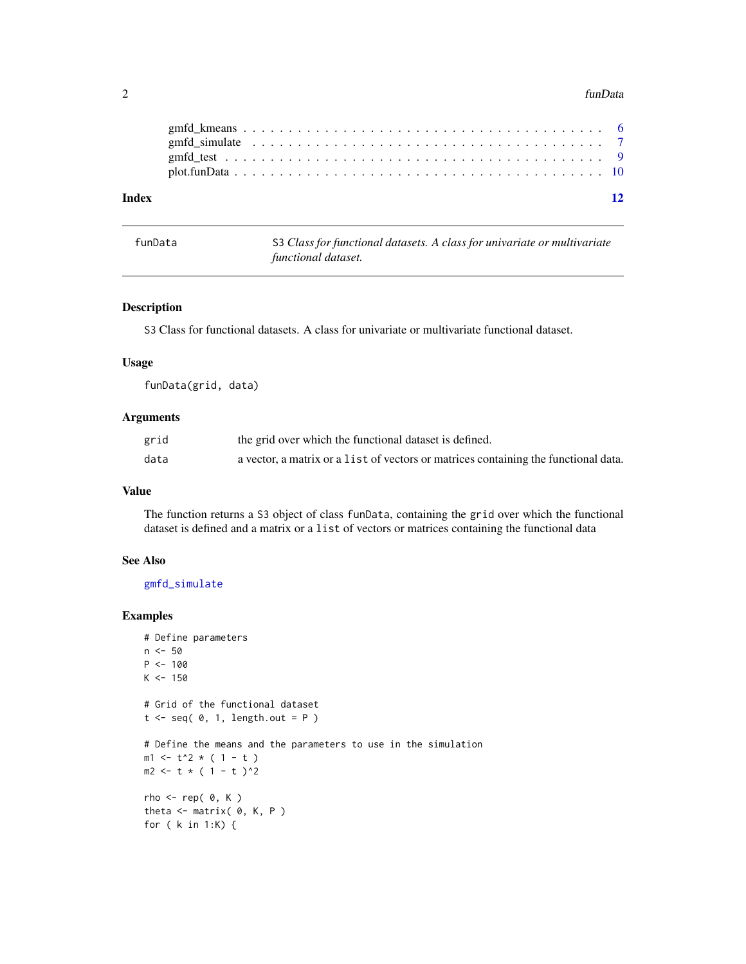#### <span id="page-1-0"></span>2 funData

| Index |  |  |
|-------|--|--|
|       |  |  |
|       |  |  |
|       |  |  |
|       |  |  |

<span id="page-1-1"></span>

| funData | S3 Class for functional datasets. A class for univariate or multivariate |
|---------|--------------------------------------------------------------------------|
|         | functional dataset.                                                      |

# Description

S3 Class for functional datasets. A class for univariate or multivariate functional dataset.

#### Usage

funData(grid, data)

#### Arguments

| grid | the grid over which the functional dataset is defined.                              |
|------|-------------------------------------------------------------------------------------|
| data | a vector, a matrix or a list of vectors or matrices containing the functional data. |

#### Value

The function returns a S3 object of class funData, containing the grid over which the functional dataset is defined and a matrix or a list of vectors or matrices containing the functional data

# See Also

[gmfd\\_simulate](#page-6-1)

```
# Define parameters
n <- 50
P <- 100
K < -150# Grid of the functional dataset
t \leq -seq(0, 1, length.out = P)# Define the means and the parameters to use in the simulation
m1 < -t^2 \times (1 - t)m2 <- t * ( 1 - t )^2
rho \leq- rep( 0, K )
theta \leq matrix( \theta, K, P )
for ( k in 1:K) {
```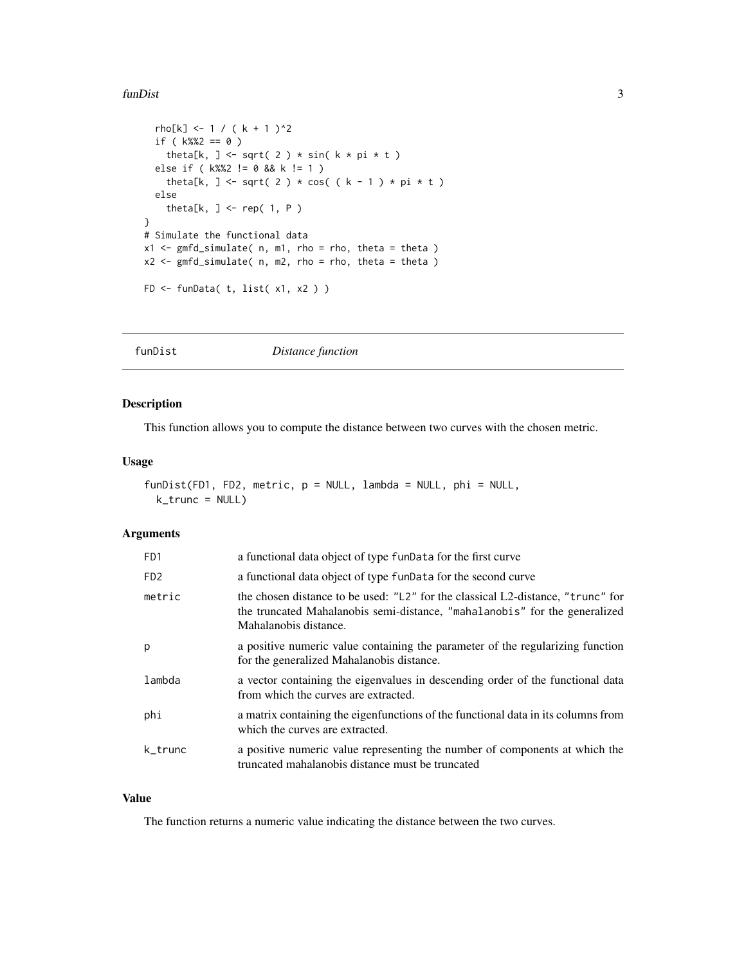#### <span id="page-2-0"></span>funDist 3

```
rho[k] <- 1 / ( k + 1 )^2
  if (k\%2 = 0)
    theta[k, ] <- sqrt( 2 ) * sin( k * pi * t )
  else if ( k%%2 != 0 && k != 1 )
    theta[k, ] <- sqrt( 2 ) * cos( ( k - 1 ) * pi * t )
  else
    theta[k, ] <- rep( 1, P )
}
# Simulate the functional data
x1 \leq \text{gmfd\_simulate( } n, ml, rho = rho, theta = theta )x2 \leq \text{gmfd\_simulate( } n, m2, rho = rho, theta = theta )FD <- funData( t, list( x1, x2 ) )
```
<span id="page-2-1"></span>funDist *Distance function*

# Description

This function allows you to compute the distance between two curves with the chosen metric.

# Usage

```
funDist(FD1, FD2, metric, p = NULL, lambda = NULL, phi = NULL,
 k_trunc = NULL)
```
#### Arguments

| F <sub>D</sub> 1            | a functional data object of type funData for the first curve                                                                                                                           |
|-----------------------------|----------------------------------------------------------------------------------------------------------------------------------------------------------------------------------------|
| F <sub>D</sub> <sub>2</sub> | a functional data object of type funData for the second curve                                                                                                                          |
| metric                      | the chosen distance to be used: "L2" for the classical L2-distance, "trunc" for<br>the truncated Mahalanobis semi-distance, "mahalanobis" for the generalized<br>Mahalanobis distance. |
| р                           | a positive numeric value containing the parameter of the regularizing function<br>for the generalized Mahalanobis distance.                                                            |
| lambda                      | a vector containing the eigenvalues in descending order of the functional data<br>from which the curves are extracted.                                                                 |
| phi                         | a matrix containing the eigenfunctions of the functional data in its columns from<br>which the curves are extracted.                                                                   |
| k_trunc                     | a positive numeric value representing the number of components at which the<br>truncated mahalanobis distance must be truncated                                                        |

# Value

The function returns a numeric value indicating the distance between the two curves.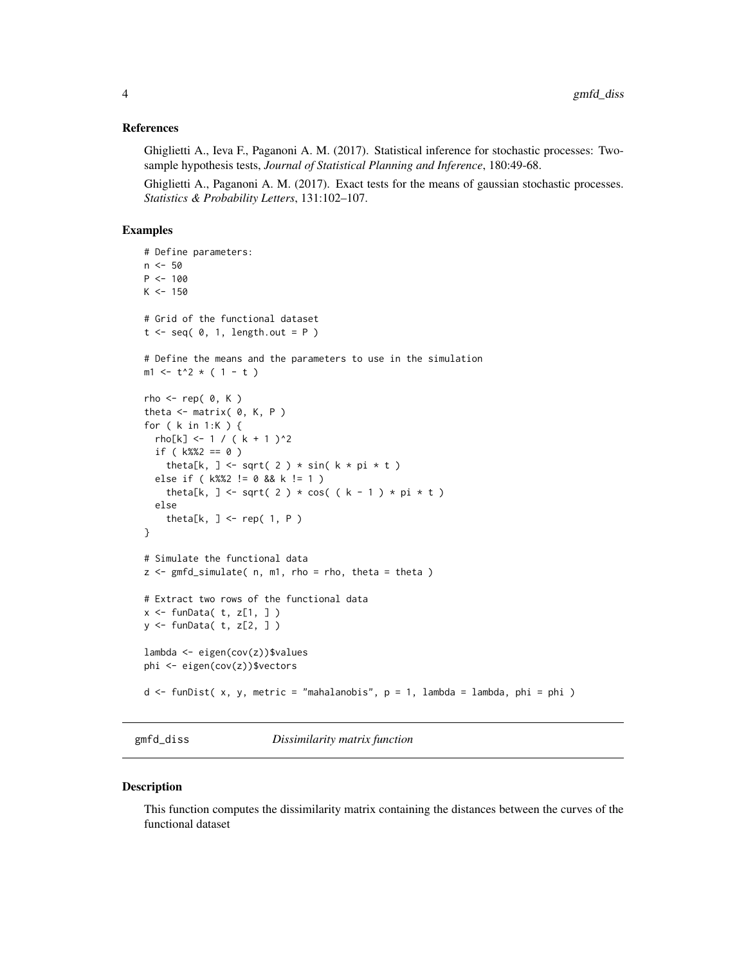#### <span id="page-3-0"></span>References

Ghiglietti A., Ieva F., Paganoni A. M. (2017). Statistical inference for stochastic processes: Twosample hypothesis tests, *Journal of Statistical Planning and Inference*, 180:49-68.

Ghiglietti A., Paganoni A. M. (2017). Exact tests for the means of gaussian stochastic processes. *Statistics & Probability Letters*, 131:102–107.

### Examples

```
# Define parameters:
n <- 50
P <- 100
K < -150# Grid of the functional dataset
t \leq -seq(0, 1, length.out = P)# Define the means and the parameters to use in the simulation
m1 <- t^2 * (1 - t)
rho < - rep(0, K)theta \leq matrix( \theta, K, P )
for ( k in 1:K ) {
 rho[k] <- 1 / ( k + 1 )^2
  if ( k\%2 == 0 )
    theta[k, ] <- sqrt( 2 ) * sin( k * pi * t )
  else if ( k%%2 != 0 && k != 1 )
    theta[k, ] <- sqrt( 2 ) * cos( ( k - 1 ) * pi * t )
  else
    theta[k, ] <- rep( 1, P )
}
# Simulate the functional data
z \leq gmfd_simulate( n, m1, rho = rho, theta = theta)
# Extract two rows of the functional data
x \leq - funData( t, z[1, 1)y <- funData( t, z[2, ] )
lambda <- eigen(cov(z))$values
phi <- eigen(cov(z))$vectors
d \le funDist( x, y, metric = "mahalanobis", p = 1, lambda = lambda, phi = phi )
```
gmfd\_diss *Dissimilarity matrix function*

#### Description

This function computes the dissimilarity matrix containing the distances between the curves of the functional dataset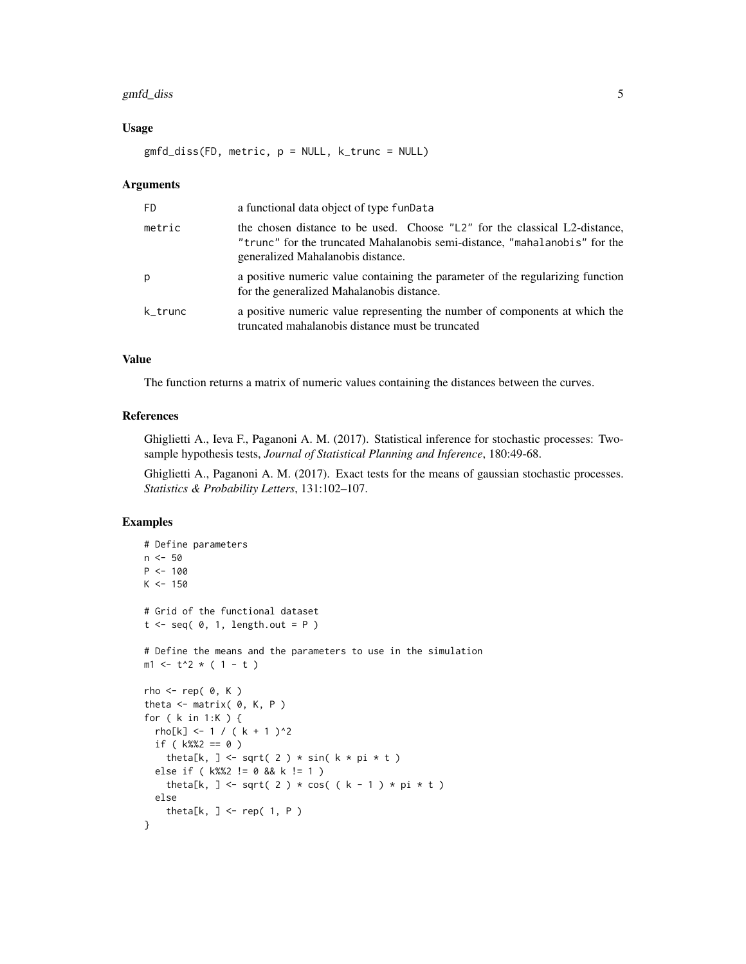# gmfd\_diss 5

#### Usage

gmfd\_diss(FD, metric, p = NULL, k\_trunc = NULL)

#### Arguments

| FD      | a functional data object of type funData                                                                                                                                                      |
|---------|-----------------------------------------------------------------------------------------------------------------------------------------------------------------------------------------------|
| metric  | the chosen distance to be used. Choose "L2" for the classical L2-distance,<br>"trunc" for the truncated Mahalanobis semi-distance, "mahalanobis" for the<br>generalized Mahalanobis distance. |
| р       | a positive numeric value containing the parameter of the regularizing function<br>for the generalized Mahalanobis distance.                                                                   |
| k trunc | a positive numeric value representing the number of components at which the<br>truncated mahalanobis distance must be truncated                                                               |

#### Value

The function returns a matrix of numeric values containing the distances between the curves.

# References

Ghiglietti A., Ieva F., Paganoni A. M. (2017). Statistical inference for stochastic processes: Twosample hypothesis tests, *Journal of Statistical Planning and Inference*, 180:49-68.

Ghiglietti A., Paganoni A. M. (2017). Exact tests for the means of gaussian stochastic processes. *Statistics & Probability Letters*, 131:102–107.

```
# Define parameters
n <- 50
P <- 100
K < -150# Grid of the functional dataset
t \leq - seq( \theta, 1, length.out = P )
# Define the means and the parameters to use in the simulation
m1 <- t^2 * ( 1 - t )
rho \leq- rep( 0, K )
theta \leq matrix( \theta, K, P )
for ( k in 1:K ) {
  rho[k] <- 1 / ( k + 1 )^2
  if ( k\%2 == 0 )
    theta[k, ] <- sqrt( 2 ) * sin( k * pi * t )
  else if ( k%%2 != 0 && k != 1 )
    theta[k, ] <- sqrt( 2 ) * cos( ( k - 1 ) * pi * t )
  else
    theta[k, ] <- rep( 1, P )
}
```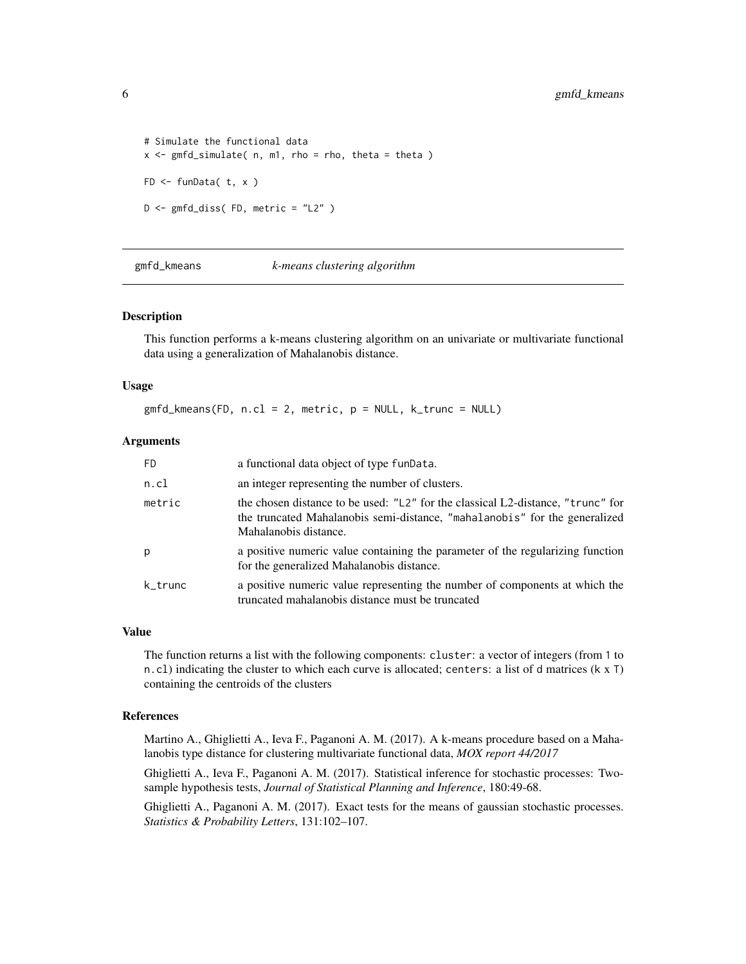```
# Simulate the functional data
x \leq gmfd_simulate( n, m1, rho = rho, theta = theta )
FD <- funData( t, x )
D <- gmfd_diss( FD, metric = "L2" )
```
gmfd\_kmeans *k-means clustering algorithm*

#### Description

This function performs a k-means clustering algorithm on an univariate or multivariate functional data using a generalization of Mahalanobis distance.

#### Usage

gmfd\_kmeans(FD, n.cl = 2, metric, p = NULL, k\_trunc = NULL)

# Arguments

| <b>FD</b> | a functional data object of type funData.                                                                                                                                              |
|-----------|----------------------------------------------------------------------------------------------------------------------------------------------------------------------------------------|
| n.cl      | an integer representing the number of clusters.                                                                                                                                        |
| metric    | the chosen distance to be used: "L2" for the classical L2-distance, "trunc" for<br>the truncated Mahalanobis semi-distance, "mahalanobis" for the generalized<br>Mahalanobis distance. |
| p         | a positive numeric value containing the parameter of the regularizing function<br>for the generalized Mahalanobis distance.                                                            |
| k_trunc   | a positive numeric value representing the number of components at which the<br>truncated mahalanobis distance must be truncated                                                        |

#### Value

The function returns a list with the following components: cluster: a vector of integers (from 1 to n.cl) indicating the cluster to which each curve is allocated; centers: a list of d matrices (k x T) containing the centroids of the clusters

#### References

Martino A., Ghiglietti A., Ieva F., Paganoni A. M. (2017). A k-means procedure based on a Mahalanobis type distance for clustering multivariate functional data, *MOX report 44/2017*

Ghiglietti A., Ieva F., Paganoni A. M. (2017). Statistical inference for stochastic processes: Twosample hypothesis tests, *Journal of Statistical Planning and Inference*, 180:49-68.

Ghiglietti A., Paganoni A. M. (2017). Exact tests for the means of gaussian stochastic processes. *Statistics & Probability Letters*, 131:102–107.

<span id="page-5-0"></span>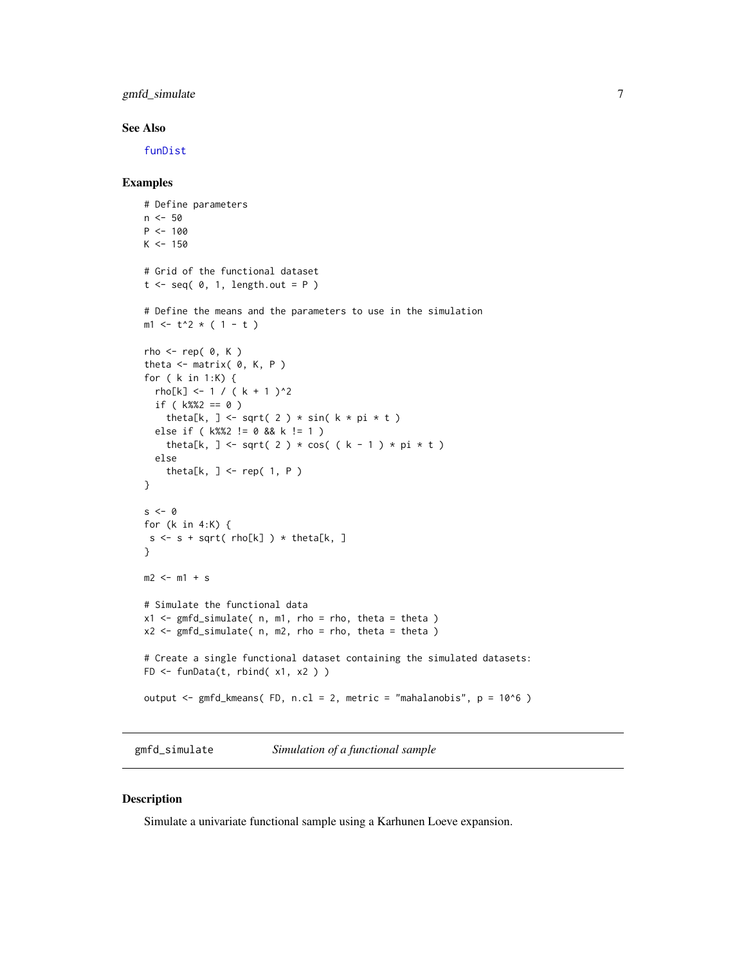<span id="page-6-0"></span>gmfd\_simulate 7 and 7 and 7 and 7 and 7 and 7 and 7 and 7 and 7 and 7 and 7 and 7 and 7 and 7 and 7 and 7 and 7 and 7 and 7 and 7 and 7 and 7 and 7 and 7 and 7 and 7 and 7 and 7 and 7 and 7 and 7 and 7 and 7 and 7 and 7 an

#### See Also

[funDist](#page-2-1)

#### Examples

```
# Define parameters
n <- 50
P <- 100
K < -150# Grid of the functional dataset
t \leq - seq( \theta, 1, length.out = P )
# Define the means and the parameters to use in the simulation
m1 <- t^2 * ( 1 - t )
rho < - rep(0, K)theta \leq matrix( \theta, K, P )
for ( k in 1:K) {
  rho[k] <- 1 / ( k + 1 )^2
  if ( k\%2 == 0 )
    theta[k, ] <- sqrt( 2 ) * sin( k * pi * t )
  else if ( k%%2 != 0 && k != 1 )
    theta[k, ] <- sqrt( 2 ) * cos( ( k - 1 ) * pi * t )
  else
    theta[k, ] <- rep( 1, P )
}
s < - \thetafor (k in 4:K) {
s \leq s + sqrt(rho[k]) \geq ttheta[k, ]}
m2 < -m1 + s# Simulate the functional data
x1 \leq - gmfd_simulate( n, m1, rho = rho, theta = theta )
x2 \leq - gmfd_simulate( n, m2, rho = rho, theta = theta )
# Create a single functional dataset containing the simulated datasets:
FD \leq funData(t, rbind( x1, x2 ) )
output <- gmfd_kmeans( FD, n.cl = 2, metric = "mahalanobis", p = 10^6 )
```
<span id="page-6-1"></span>gmfd\_simulate *Simulation of a functional sample*

# Description

Simulate a univariate functional sample using a Karhunen Loeve expansion.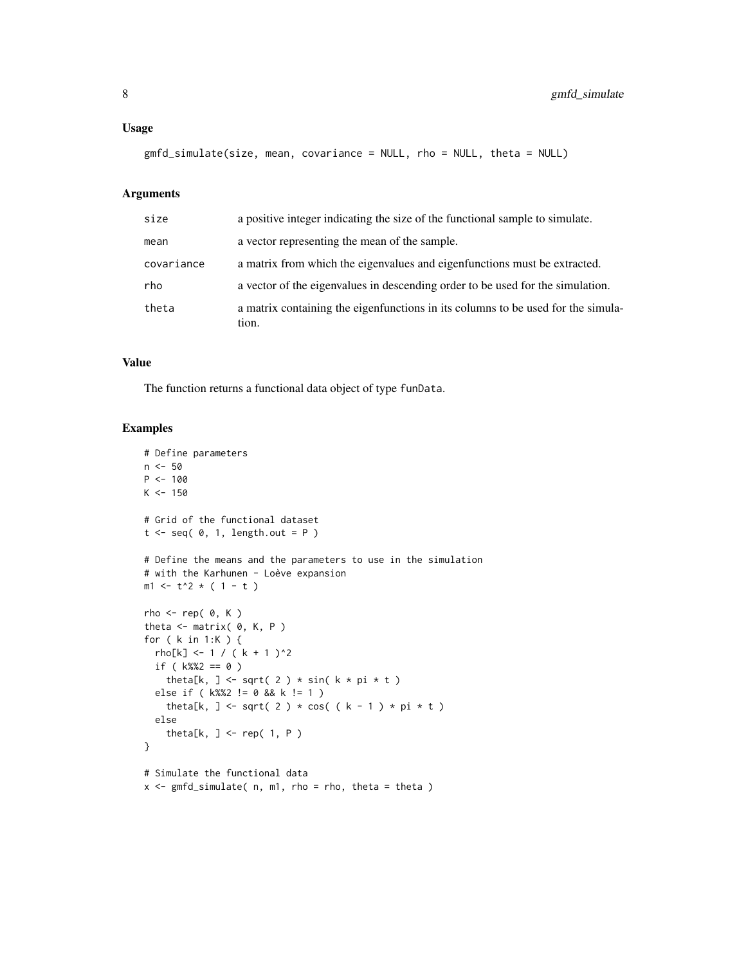#### Usage

```
gmfd_simulate(size, mean, covariance = NULL, rho = NULL, theta = NULL)
```
# Arguments

| size       | a positive integer indicating the size of the functional sample to simulate.              |
|------------|-------------------------------------------------------------------------------------------|
| mean       | a vector representing the mean of the sample.                                             |
| covariance | a matrix from which the eigenvalues and eigenfunctions must be extracted.                 |
| rho        | a vector of the eigenvalues in descending order to be used for the simulation.            |
| theta      | a matrix containing the eigenfunctions in its columns to be used for the simula-<br>tion. |

#### Value

The function returns a functional data object of type funData.

```
# Define parameters
n < -50P < - 100K < -150# Grid of the functional dataset
t \leq - seq( 0, 1, length.out = P )
# Define the means and the parameters to use in the simulation
# with the Karhunen - Loève expansion
m1 < -t^2 \times (1 - t)rho \leq- rep( 0, K )
theta \leq matrix( \theta, K, P )
for ( k in 1:K ) {
  rho[k] <- 1 / ( k + 1 )^2
  if (k\%2 = 0)
   theta[k, ] <- sqrt( 2 ) * sin( k * pi * t )
  else if ( k%%2 != 0 && k != 1 )
   theta[k, ] <- sqrt( 2 ) * cos( ( k - 1 ) * pi * t )
  else
    theta[k, ] <- rep( 1, P )
}
# Simulate the functional data
x \leq gmfd_simulate( n, m1, rho = rho, theta = theta)
```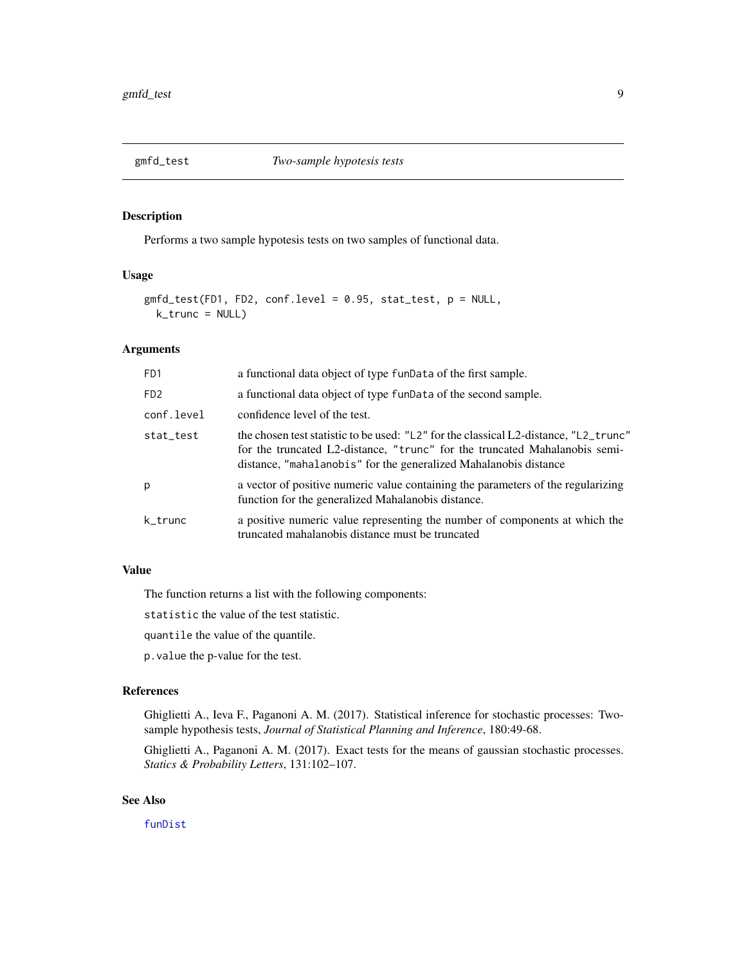<span id="page-8-0"></span>

### Description

Performs a two sample hypotesis tests on two samples of functional data.

# Usage

```
gmfd_test(FD1, FD2, conf.level = 0.95, stat_test, p = NULL,
 k_trunc = NULL)
```
# Arguments

| F <sub>D</sub> 1            | a functional data object of type funData of the first sample.                                                                                                                                                                          |
|-----------------------------|----------------------------------------------------------------------------------------------------------------------------------------------------------------------------------------------------------------------------------------|
| F <sub>D</sub> <sub>2</sub> | a functional data object of type funData of the second sample.                                                                                                                                                                         |
| conf.level                  | confidence level of the test.                                                                                                                                                                                                          |
| stat_test                   | the chosen test statistic to be used: "L2" for the classical L2-distance, "L2_trunc"<br>for the truncated L2-distance, "trunc" for the truncated Mahalanobis semi-<br>distance, "mahalanobis" for the generalized Mahalanobis distance |
| p                           | a vector of positive numeric value containing the parameters of the regularizing<br>function for the generalized Mahalanobis distance.                                                                                                 |
| k_trunc                     | a positive numeric value representing the number of components at which the<br>truncated mahalanobis distance must be truncated                                                                                                        |

# Value

The function returns a list with the following components:

statistic the value of the test statistic.

quantile the value of the quantile.

p.value the p-value for the test.

#### References

Ghiglietti A., Ieva F., Paganoni A. M. (2017). Statistical inference for stochastic processes: Twosample hypothesis tests, *Journal of Statistical Planning and Inference*, 180:49-68.

Ghiglietti A., Paganoni A. M. (2017). Exact tests for the means of gaussian stochastic processes. *Statics & Probability Letters*, 131:102–107.

### See Also

[funDist](#page-2-1)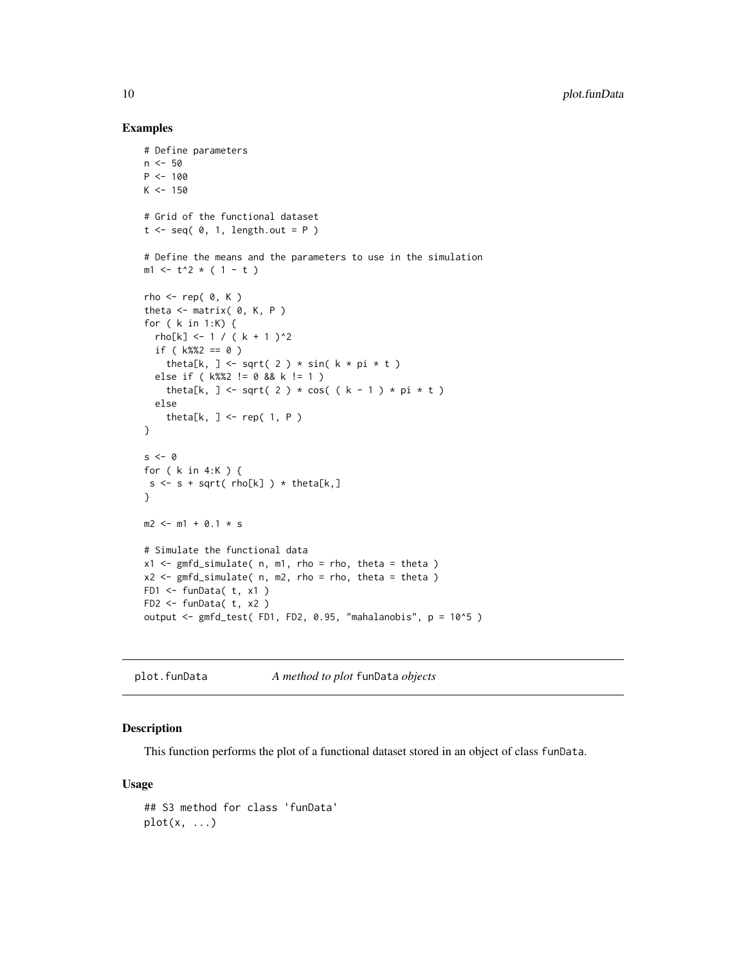#### Examples

```
# Define parameters
n < -50P <- 100
K < -150# Grid of the functional dataset
t \leq - seq( \theta, 1, length.out = P )
# Define the means and the parameters to use in the simulation
m1 < -t^2 \times (1 - t)rho < - rep(0, K)theta \leq matrix( \theta, K, P )
for ( k in 1:K) {
 rho[k] <- 1 / ( k + 1 )^2
 if ( k\%2 == 0 )
    theta[k, ] <- sqrt( 2 ) * sin( k * pi * t )
  else if ( k%%2 != 0 && k != 1 )
    theta[k, ] <- sqrt( 2 ) * cos( ( k - 1 ) * pi * t )
  else
    theta[k, ] <- rep( 1, P )
}
s < - \thetafor ( k in 4:K ) {
s \leq s + sqrt(rho[k]) \geq ttheta[k],}
m2 <- m1 + 0.1 * s
# Simulate the functional data
x1 \leq - gmfd_simulate( n, m1, rho = rho, theta = theta )
x2 \leq \text{gmfd\_simulate( } n, m2, rho = rho, theta = theta )FD1 <- funData( t, x1 )
FD2 <- funData( t, x2 )
output <- gmfd_test( FD1, FD2, 0.95, "mahalanobis", p = 10^5 )
```
plot.funData *A method to plot* funData *objects*

#### Description

This function performs the plot of a functional dataset stored in an object of class funData.

### Usage

```
## S3 method for class 'funData'
plot(x, \ldots)
```
<span id="page-9-0"></span>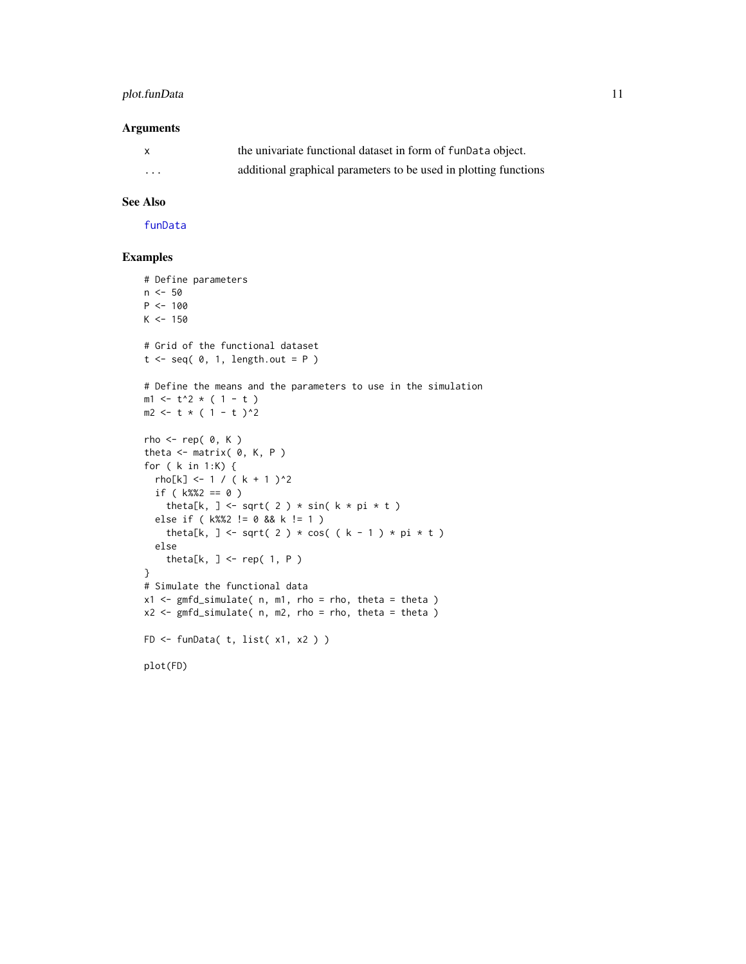# <span id="page-10-0"></span>plot.funData 11

### Arguments

| $\mathsf{x}$ | the univariate functional dataset in form of funData object.     |
|--------------|------------------------------------------------------------------|
| .            | additional graphical parameters to be used in plotting functions |

# See Also

[funData](#page-1-1)

```
# Define parameters
n < -50P < - 100K < -150# Grid of the functional dataset
t \leq - seq( \theta, 1, length.out = P )
# Define the means and the parameters to use in the simulation
m1 < -t^2 * (1 - t )
m2 <- t * ( 1 - t )^2rho \leq- rep( 0, K )
theta \leq matrix( \theta, K, P )
for ( k in 1:K) {
  rho[k] < -1 / (k + 1)^2if ( k%%2 == 0 )
    theta[k, ] <- sqrt( 2 ) * sin( k * pi * t )
  else if ( k%%2 != 0 && k != 1 )
    theta[k, ] <- sqrt( 2 ) * cos( ( k - 1 ) * pi * t )
  else
    theta[k, ] <- rep( 1, P )
}
# Simulate the functional data
x1 \leq \text{gmfd\_simulate( } n, ml, rho = rho, theta = theta )x2 \leq - gmfd_simulate( n, m2, rho = rho, theta = theta )
FD <- funData( t, list( x1, x2 ) )
plot(FD)
```